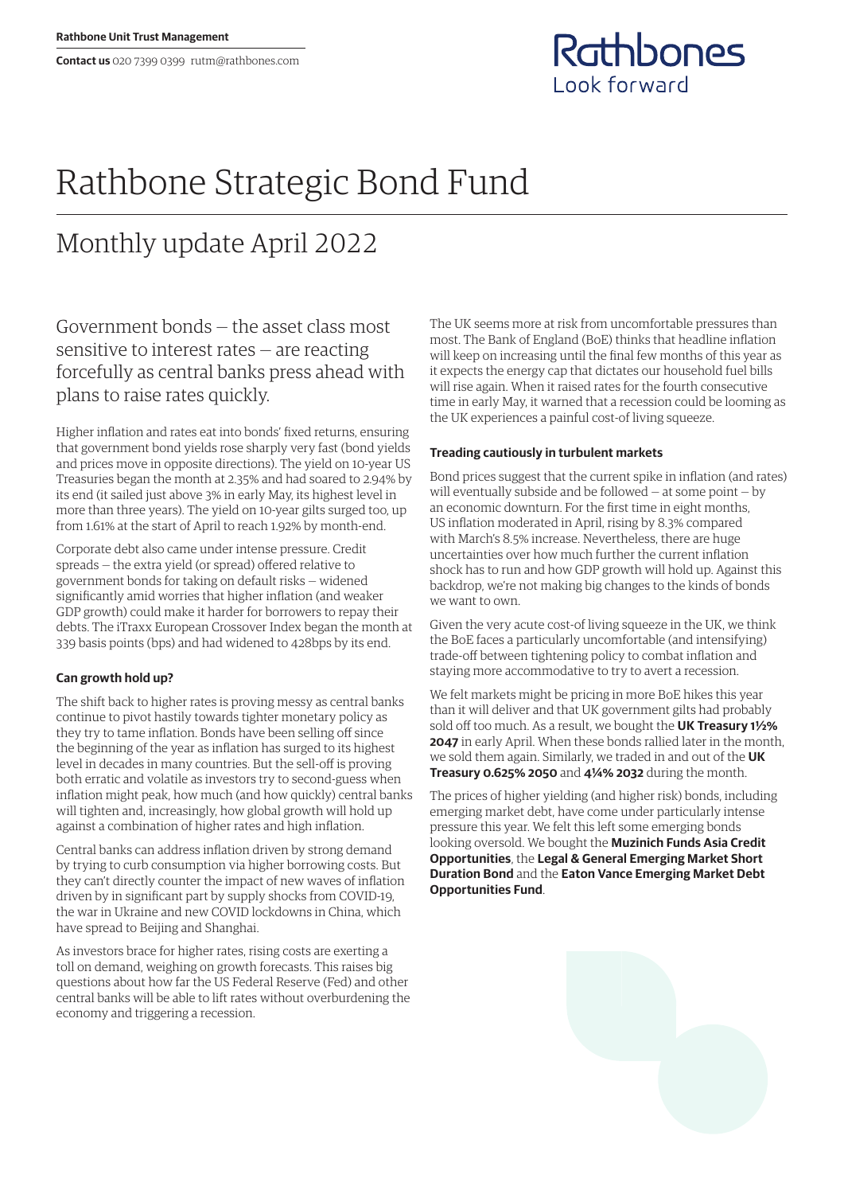**Contact us** 020 7399 0399 rutm@rathbones.com



# Rathbone Strategic Bond Fund

# Monthly update April 2022

Government bonds — the asset class most sensitive to interest rates — are reacting forcefully as central banks press ahead with plans to raise rates quickly.

Higher inflation and rates eat into bonds' fixed returns, ensuring that government bond yields rose sharply very fast (bond yields and prices move in opposite directions). The yield on 10-year US Treasuries began the month at 2.35% and had soared to 2.94% by its end (it sailed just above 3% in early May, its highest level in more than three years). The yield on 10-year gilts surged too, up from 1.61% at the start of April to reach 1.92% by month-end.

Corporate debt also came under intense pressure. Credit spreads — the extra yield (or spread) offered relative to government bonds for taking on default risks — widened significantly amid worries that higher inflation (and weaker GDP growth) could make it harder for borrowers to repay their debts. The iTraxx European Crossover Index began the month at 339 basis points (bps) and had widened to 428bps by its end.

## **Can growth hold up?**

The shift back to higher rates is proving messy as central banks continue to pivot hastily towards tighter monetary policy as they try to tame inflation. Bonds have been selling off since the beginning of the year as inflation has surged to its highest level in decades in many countries. But the sell-off is proving both erratic and volatile as investors try to second-guess when inflation might peak, how much (and how quickly) central banks will tighten and, increasingly, how global growth will hold up against a combination of higher rates and high inflation.

Central banks can address inflation driven by strong demand by trying to curb consumption via higher borrowing costs. But they can't directly counter the impact of new waves of inflation driven by in significant part by supply shocks from COVID-19, the war in Ukraine and new COVID lockdowns in China, which have spread to Beijing and Shanghai.

As investors brace for higher rates, rising costs are exerting a toll on demand, weighing on growth forecasts. This raises big questions about how far the US Federal Reserve (Fed) and other central banks will be able to lift rates without overburdening the economy and triggering a recession.

The UK seems more at risk from uncomfortable pressures than most. The Bank of England (BoE) thinks that headline inflation will keep on increasing until the final few months of this year as it expects the energy cap that dictates our household fuel bills will rise again. When it raised rates for the fourth consecutive time in early May, it warned that a recession could be looming as the UK experiences a painful cost-of living squeeze.

### **Treading cautiously in turbulent markets**

Bond prices suggest that the current spike in inflation (and rates) will eventually subside and be followed — at some point — by an economic downturn. For the first time in eight months, US inflation moderated in April, rising by 8.3% compared with March's 8.5% increase. Nevertheless, there are huge uncertainties over how much further the current inflation shock has to run and how GDP growth will hold up. Against this backdrop, we're not making big changes to the kinds of bonds we want to own.

Given the very acute cost-of living squeeze in the UK, we think the BoE faces a particularly uncomfortable (and intensifying) trade-off between tightening policy to combat inflation and staying more accommodative to try to avert a recession.

We felt markets might be pricing in more BoE hikes this year than it will deliver and that UK government gilts had probably sold off too much. As a result, we bought the **UK Treasury 1½% 2047** in early April. When these bonds rallied later in the month, we sold them again. Similarly, we traded in and out of the **UK Treasury 0.625% 2050** and **4¼% 2032** during the month.

The prices of higher yielding (and higher risk) bonds, including emerging market debt, have come under particularly intense pressure this year. We felt this left some emerging bonds looking oversold. We bought the **Muzinich Funds Asia Credit Opportunities**, the **Legal & General Emerging Market Short Duration Bond** and the **Eaton Vance Emerging Market Debt Opportunities Fund**.